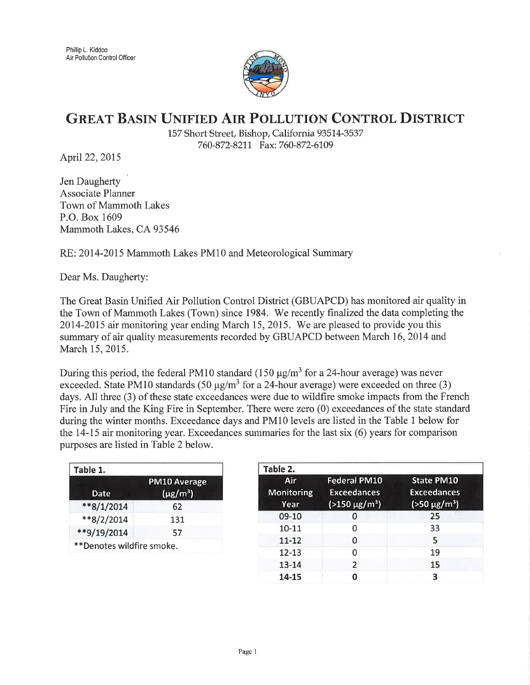

## GREAT BASIN UNIFIED AIR POLLUTION CONTROL DISTRICT

157 Short Street, Bishop, California 93514-3537 760-872-8211 Fax: 760-872-6109

April22,2015

Jen Daugherty Associate Planner Town of Mammoth Lakes P.O. Box 1609 Mammoth Lakes, CA 93546

RE:2014-2015 Mammoth Lakes PM10 and Meteorological Summary

Dear Ms. Daugherty:

The Great Basin Unified Air Pollution Control District (GBUAPCD) has monitored air quality in the Town of Mammoth Lakes (Town) since 1984. 'We recently finalized the data completing the 2014-2015 air monitoring year ending March 15, 2015. We are pleased to provide you this summary of air quality measurements recorded by GBUAPCD between March 16,2014 and March 15,2015.

During this period, the federal PM10 standard  $(150 \text{ µg/m}^3$  for a 24-hour average) was never exceeded. State PM10 standards (50  $\mu$ g/m<sup>3</sup> for a 24-hour average) were exceeded on three (3) days. All three (3) of these state exceedances were due to wildfire smoke impacts from the French Fire in July and the King Fire in September. There were zero (0) exceedances of the state standard during the winter months. Exceedance days and PM10 levels are listed in the Table 1 below for the 14-15 air monitoring year. Exceedances summaries for the last six (6) years for comparison purposes are listed in Table 2 below.

| Table 1.                  |                           |
|---------------------------|---------------------------|
|                           | <b>PM10 Average</b>       |
| Date                      | $(\mu$ g/m <sup>3</sup> ) |
| $*8/1/2014$               | 62                        |
| $*8/2/2014$               | 131                       |
| **9/19/2014               | 57                        |
| **Denotes wildfire smoke. |                           |

| Table 2.                         |                                                                 |                                                              |
|----------------------------------|-----------------------------------------------------------------|--------------------------------------------------------------|
| Air<br><b>Monitoring</b><br>Year | <b>Federal PM10</b><br><b>Exceedances</b><br>$(>150 \mu g/m^3)$ | <b>State PM10</b><br><b>Exceedances</b><br>$(>50 \mu g/m^3)$ |
| 09-10                            | O                                                               | 25                                                           |
| $10 - 11$                        | ი                                                               | 33                                                           |
| $11 - 12$                        | O                                                               | 5                                                            |
| $12 - 13$                        | ი                                                               | 19                                                           |
| 13-14                            | 2                                                               | 15                                                           |
| 14-15                            |                                                                 | 3                                                            |
|                                  |                                                                 |                                                              |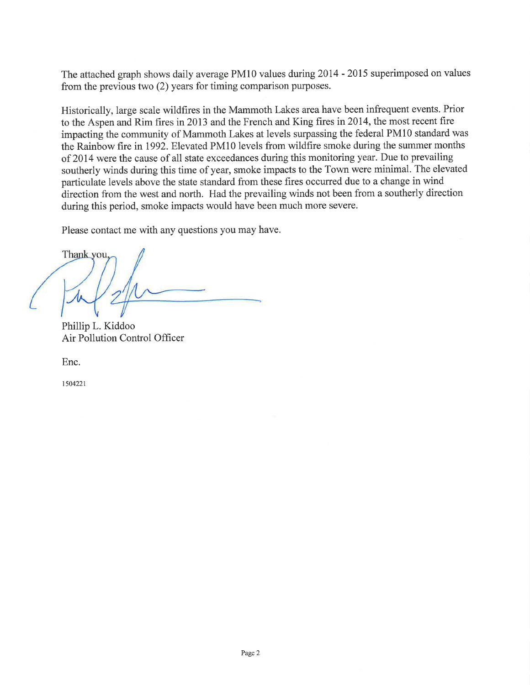The attached graph shows daily average PM10 values during 2014 - 2015 superimposed on values from the previous two (2) years for timing comparison purposes.

Historically, large scale wildfires in the Mammoth Lakes area have been infrequent events. Prior to the Aspen and Rim fires in 2013 and the French and King fires in 2014, the most recent fire impacting the community of Mammoth Lakes at levels surpassing the federal PMl0 standard was the Rainbow fire in1992. Elevated PMl0 levels from wildfire smoke during the summer months of 2014 were the cause of all state exceedances during this monitoring year. Due to prevailing southerly winds during this time of year, smoke impacts to the Town were minimal. The elevated particulate levels above the state standard from these fires occurred due to a change in wind direction from the west and north. Had the prevailing winds not been from a southerly direction during this period, smoke impacts would have been much more severe.

Please contact me with any questions you may have.

Thank you.

Phillip L. Kiddoo Air Pollution Control Officer

Enc.

150422r